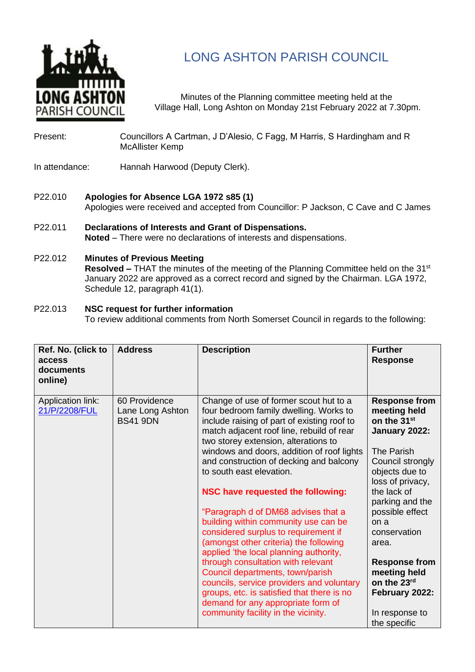

# LONG ASHTON PARISH COUNCIL

Minutes of the Planning committee meeting held at the Village Hall, Long Ashton on Monday 21st February 2022 at 7.30pm.

- Present: Councillors A Cartman, J D'Alesio, C Fagg, M Harris, S Hardingham and R McAllister Kemp
- In attendance: Hannah Harwood (Deputy Clerk).
- P22.010 **Apologies for Absence LGA 1972 s85 (1)** Apologies were received and accepted from Councillor: P Jackson, C Cave and C James
- P22.011 **Declarations of Interests and Grant of Dispensations. Noted** – There were no declarations of interests and dispensations.
- P22.012 **Minutes of Previous Meeting**

**Resolved –** THAT the minutes of the meeting of the Planning Committee held on the 31<sup>st</sup> January 2022 are approved as a correct record and signed by the Chairman. LGA 1972, Schedule 12, paragraph 41(1).

# P22.013 **NSC request for further information**

To review additional comments from North Somerset Council in regards to the following:

| Ref. No. (click to<br>access<br>documents<br>online) | <b>Address</b>                                       | <b>Description</b>                                                                                                                                                                                                   | <b>Further</b><br><b>Response</b>                                                |
|------------------------------------------------------|------------------------------------------------------|----------------------------------------------------------------------------------------------------------------------------------------------------------------------------------------------------------------------|----------------------------------------------------------------------------------|
| Application link:<br>21/P/2208/FUL                   | 60 Providence<br>Lane Long Ashton<br><b>BS41 9DN</b> | Change of use of former scout hut to a<br>four bedroom family dwelling. Works to<br>include raising of part of existing roof to<br>match adjacent roof line, rebuild of rear<br>two storey extension, alterations to | <b>Response from</b><br>meeting held<br>on the 31 <sup>st</sup><br>January 2022: |
|                                                      |                                                      | windows and doors, addition of roof lights<br>and construction of decking and balcony<br>to south east elevation.                                                                                                    | The Parish<br>Council strongly<br>objects due to<br>loss of privacy,             |
|                                                      |                                                      | <b>NSC have requested the following:</b>                                                                                                                                                                             | the lack of<br>parking and the                                                   |
|                                                      |                                                      | "Paragraph d of DM68 advises that a<br>building within community use can be<br>considered surplus to requirement if<br>(amongst other criteria) the following<br>applied 'the local planning authority,              | possible effect<br>on a<br>conservation<br>area.                                 |
|                                                      |                                                      | through consultation with relevant<br>Council departments, town/parish<br>councils, service providers and voluntary<br>groups, etc. is satisfied that there is no<br>demand for any appropriate form of              | <b>Response from</b><br>meeting held<br>on the 23rd<br>February 2022:            |
|                                                      |                                                      | community facility in the vicinity.                                                                                                                                                                                  | In response to<br>the specific                                                   |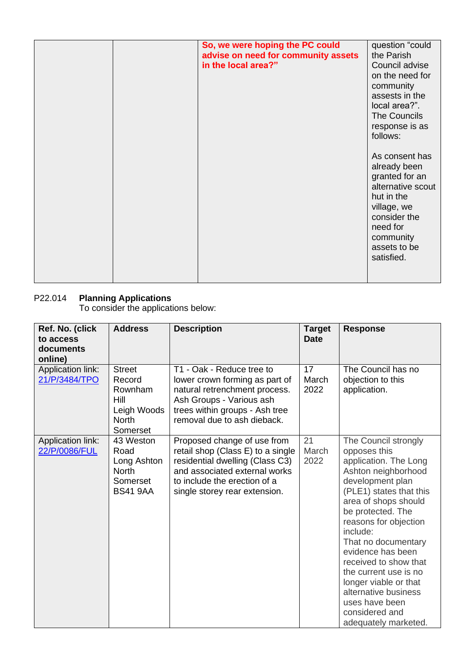|  | So, we were hoping the PC could<br>advise on need for community assets<br>in the local area?" | question "could<br>the Parish<br>Council advise<br>on the need for<br>community<br>assests in the<br>local area?".<br>The Councils<br>response is as<br>follows:<br>As consent has<br>already been<br>granted for an<br>alternative scout<br>hut in the<br>village, we<br>consider the<br>need for<br>community<br>assets to be<br>satisfied. |
|--|-----------------------------------------------------------------------------------------------|-----------------------------------------------------------------------------------------------------------------------------------------------------------------------------------------------------------------------------------------------------------------------------------------------------------------------------------------------|
|  |                                                                                               |                                                                                                                                                                                                                                                                                                                                               |

# P22.014 **Planning Applications**

To consider the applications below:

| Ref. No. (click<br>to access<br>documents<br>online) | <b>Address</b>                                                                        | <b>Description</b>                                                                                                                                                                                    | <b>Target</b><br><b>Date</b> | <b>Response</b>                                                                                                                                                                                                                                                                                                                                                                                                                  |
|------------------------------------------------------|---------------------------------------------------------------------------------------|-------------------------------------------------------------------------------------------------------------------------------------------------------------------------------------------------------|------------------------------|----------------------------------------------------------------------------------------------------------------------------------------------------------------------------------------------------------------------------------------------------------------------------------------------------------------------------------------------------------------------------------------------------------------------------------|
| Application link:<br>21/P/3484/TPO                   | <b>Street</b><br>Record<br>Rownham<br>Hill<br>Leigh Woods<br><b>North</b><br>Somerset | T1 - Oak - Reduce tree to<br>lower crown forming as part of<br>natural retrenchment process.<br>Ash Groups - Various ash<br>trees within groups - Ash tree<br>removal due to ash dieback.             | 17<br>March<br>2022          | The Council has no<br>objection to this<br>application.                                                                                                                                                                                                                                                                                                                                                                          |
| Application link:<br>22/P/0086/FUL                   | 43 Weston<br>Road<br>Long Ashton<br><b>North</b><br>Somerset<br><b>BS41 9AA</b>       | Proposed change of use from<br>retail shop (Class E) to a single<br>residential dwelling (Class C3)<br>and associated external works<br>to include the erection of a<br>single storey rear extension. | 21<br>March<br>2022          | The Council strongly<br>opposes this<br>application. The Long<br>Ashton neighborhood<br>development plan<br>(PLE1) states that this<br>area of shops should<br>be protected. The<br>reasons for objection<br>include:<br>That no documentary<br>evidence has been<br>received to show that<br>the current use is no<br>longer viable or that<br>alternative business<br>uses have been<br>considered and<br>adequately marketed. |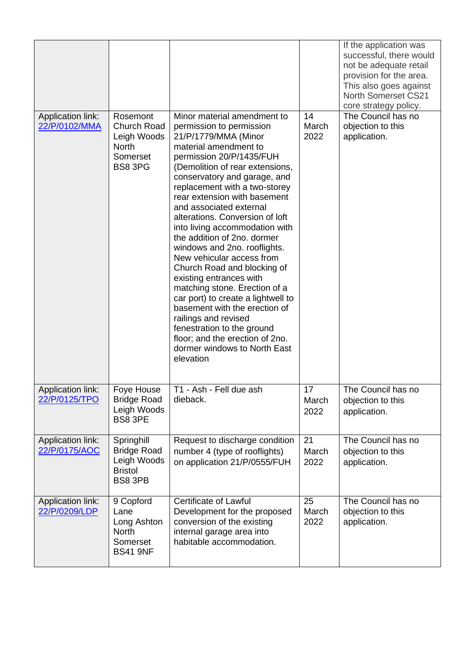|                                    |                                                                                      |                                                                                                                                                                                                                                                                                                                                                                                                                                                                                                                                                                                                                                                                                                                                                                              |                     | If the application was<br>successful, there would<br>not be adequate retail<br>provision for the area.<br>This also goes against<br><b>North Somerset CS21</b><br>core strategy policy. |
|------------------------------------|--------------------------------------------------------------------------------------|------------------------------------------------------------------------------------------------------------------------------------------------------------------------------------------------------------------------------------------------------------------------------------------------------------------------------------------------------------------------------------------------------------------------------------------------------------------------------------------------------------------------------------------------------------------------------------------------------------------------------------------------------------------------------------------------------------------------------------------------------------------------------|---------------------|-----------------------------------------------------------------------------------------------------------------------------------------------------------------------------------------|
| Application link:<br>22/P/0102/MMA | Rosemont<br><b>Church Road</b><br>Leigh Woods<br><b>North</b><br>Somerset<br>BS8 3PG | Minor material amendment to<br>permission to permission<br>21/P/1779/MMA (Minor<br>material amendment to<br>permission 20/P/1435/FUH<br>(Demolition of rear extensions,<br>conservatory and garage, and<br>replacement with a two-storey<br>rear extension with basement<br>and associated external<br>alterations. Conversion of loft<br>into living accommodation with<br>the addition of 2no. dormer<br>windows and 2no. rooflights.<br>New vehicular access from<br>Church Road and blocking of<br>existing entrances with<br>matching stone. Erection of a<br>car port) to create a lightwell to<br>basement with the erection of<br>railings and revised<br>fenestration to the ground<br>floor; and the erection of 2no.<br>dormer windows to North East<br>elevation | 14<br>March<br>2022 | The Council has no<br>objection to this<br>application.                                                                                                                                 |
| Application link:<br>22/P/0125/TPO | Foye House<br><b>Bridge Road</b><br>Leigh Woods<br><b>BS8 3PE</b>                    | T1 - Ash - Fell due ash<br>dieback.                                                                                                                                                                                                                                                                                                                                                                                                                                                                                                                                                                                                                                                                                                                                          | 17<br>March<br>2022 | The Council has no<br>objection to this<br>application.                                                                                                                                 |
| Application link:<br>22/P/0175/AOC | Springhill<br><b>Bridge Road</b><br>Leigh Woods<br><b>Bristol</b><br>BS8 3PB         | Request to discharge condition<br>number 4 (type of rooflights)<br>on application 21/P/0555/FUH                                                                                                                                                                                                                                                                                                                                                                                                                                                                                                                                                                                                                                                                              | 21<br>March<br>2022 | The Council has no<br>objection to this<br>application.                                                                                                                                 |
| Application link:<br>22/P/0209/LDP | 9 Copford<br>Lane<br>Long Ashton<br><b>North</b><br>Somerset<br><b>BS41 9NF</b>      | <b>Certificate of Lawful</b><br>Development for the proposed<br>conversion of the existing<br>internal garage area into<br>habitable accommodation.                                                                                                                                                                                                                                                                                                                                                                                                                                                                                                                                                                                                                          | 25<br>March<br>2022 | The Council has no<br>objection to this<br>application.                                                                                                                                 |